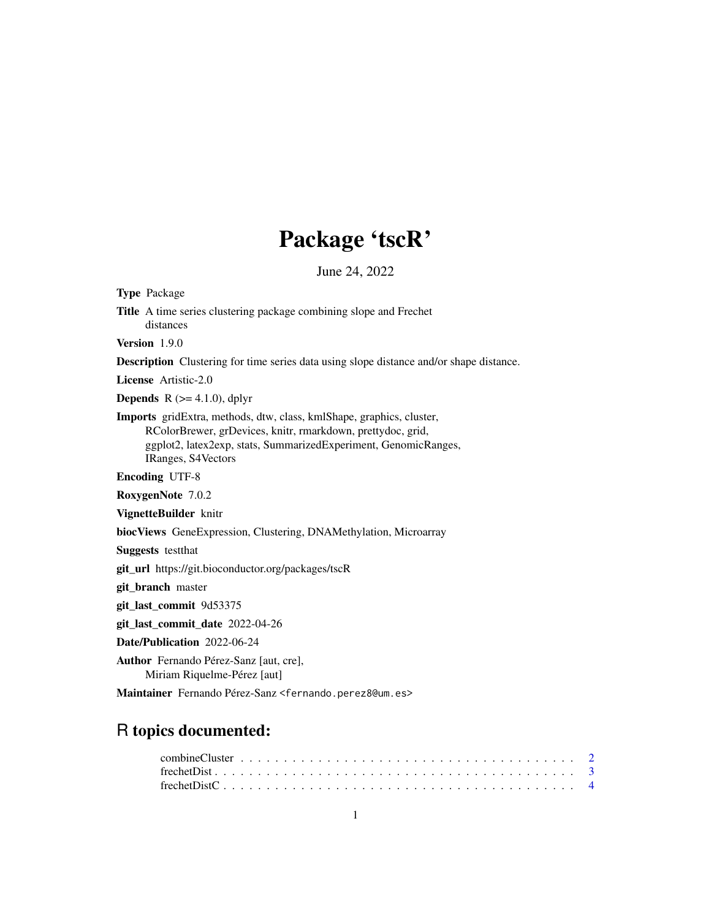# Package 'tscR'

June 24, 2022

<span id="page-0-0"></span>Type Package Title A time series clustering package combining slope and Frechet

distances

Version 1.9.0

Description Clustering for time series data using slope distance and/or shape distance.

License Artistic-2.0

**Depends** R  $(>= 4.1.0)$ , dplyr

Imports gridExtra, methods, dtw, class, kmlShape, graphics, cluster, RColorBrewer, grDevices, knitr, rmarkdown, prettydoc, grid, ggplot2, latex2exp, stats, SummarizedExperiment, GenomicRanges, IRanges, S4Vectors

Encoding UTF-8

RoxygenNote 7.0.2

VignetteBuilder knitr

biocViews GeneExpression, Clustering, DNAMethylation, Microarray

Suggests testthat

git\_url https://git.bioconductor.org/packages/tscR

git\_branch master

git\_last\_commit 9d53375

git\_last\_commit\_date 2022-04-26

Date/Publication 2022-06-24

Author Fernando Pérez-Sanz [aut, cre], Miriam Riquelme-Pérez [aut]

Maintainer Fernando Pérez-Sanz <fernando.perez8@um.es>

# R topics documented: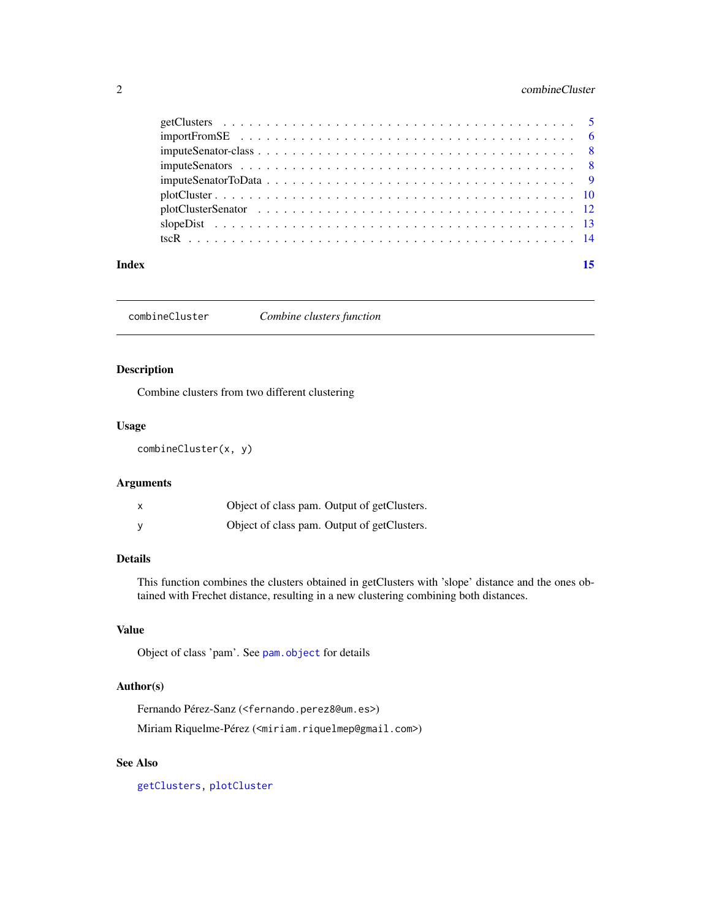# <span id="page-1-0"></span>2 combineCluster

| Index | 15 |
|-------|----|
|       |    |
|       |    |
|       |    |
|       |    |
|       |    |
|       |    |
|       |    |
|       |    |
|       |    |

<span id="page-1-1"></span>combineCluster *Combine clusters function*

# Description

Combine clusters from two different clustering

#### Usage

combineCluster(x, y)

#### Arguments

|  | Object of class pam. Output of getClusters. |
|--|---------------------------------------------|
|  | Object of class pam. Output of getClusters. |

# Details

This function combines the clusters obtained in getClusters with 'slope' distance and the ones obtained with Frechet distance, resulting in a new clustering combining both distances.

# Value

Object of class 'pam'. See [pam.object](#page-0-0) for details

# Author(s)

Fernando Pérez-Sanz (<fernando.perez8@um.es>)

Miriam Riquelme-Pérez (<miriam.riquelmep@gmail.com>)

# See Also

[getClusters,](#page-4-1) [plotCluster](#page-9-1)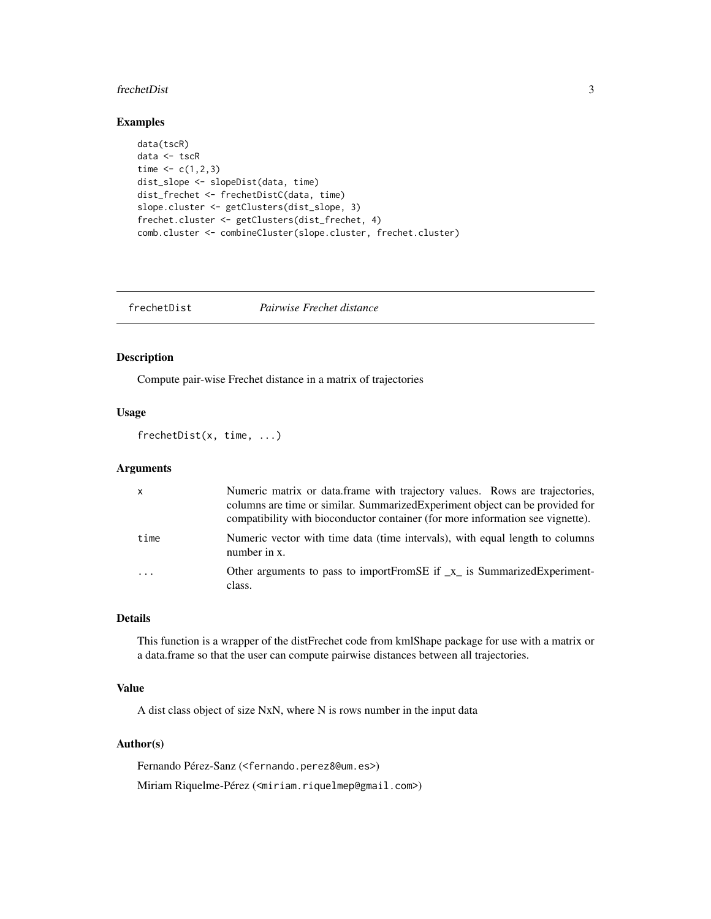#### <span id="page-2-0"></span>frechetDist 3

# Examples

```
data(tscR)
data <- tscR
time <-c(1,2,3)dist_slope <- slopeDist(data, time)
dist_frechet <- frechetDistC(data, time)
slope.cluster <- getClusters(dist_slope, 3)
frechet.cluster <- getClusters(dist_frechet, 4)
comb.cluster <- combineCluster(slope.cluster, frechet.cluster)
```
<span id="page-2-1"></span>frechetDist *Pairwise Frechet distance*

# Description

Compute pair-wise Frechet distance in a matrix of trajectories

#### Usage

frechetDist(x, time, ...)

#### Arguments

| X        | Numeric matrix or data.frame with trajectory values. Rows are trajectories,<br>columns are time or similar. Summarized Experiment object can be provided for<br>compatibility with bioconductor container (for more information see vignette). |
|----------|------------------------------------------------------------------------------------------------------------------------------------------------------------------------------------------------------------------------------------------------|
| time     | Numeric vector with time data (time intervals), with equal length to columns<br>number in x.                                                                                                                                                   |
| $\cdots$ | Other arguments to pass to importFromSE if _x_ is SummarizedExperiment-<br>class.                                                                                                                                                              |

# Details

This function is a wrapper of the distFrechet code from kmlShape package for use with a matrix or a data.frame so that the user can compute pairwise distances between all trajectories.

# Value

A dist class object of size NxN, where N is rows number in the input data

#### Author(s)

Fernando Pérez-Sanz (<fernando.perez8@um.es>) Miriam Riquelme-Pérez (<miriam.riquelmep@gmail.com>)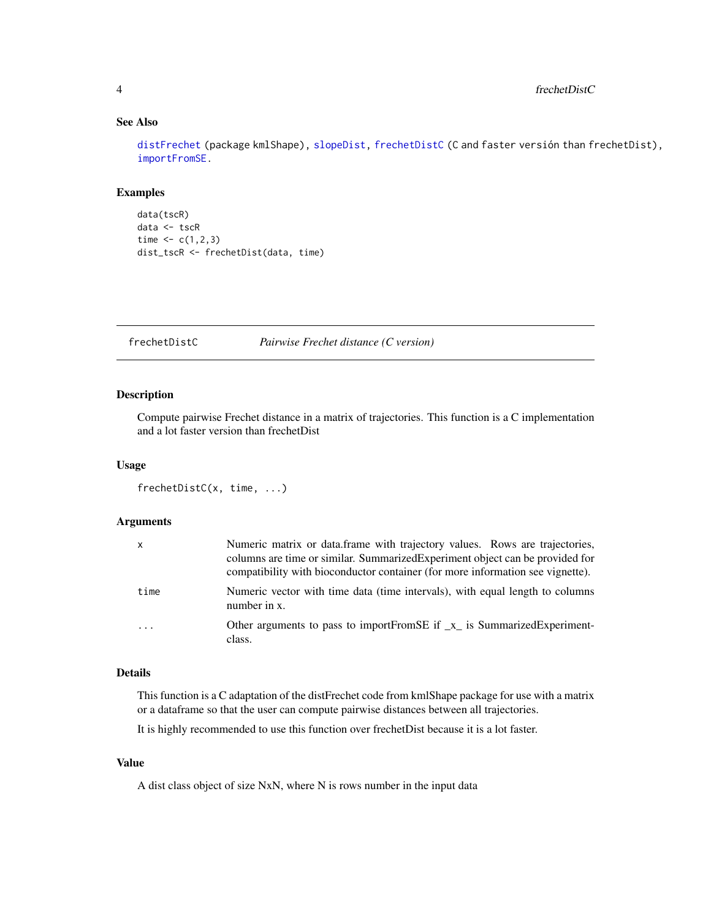# See Also

[distFrechet](#page-0-0) (package kmlShape), [slopeDist,](#page-12-1) [frechetDistC](#page-3-1) (C and faster versión than frechetDist), [importFromSE.](#page-5-1)

#### Examples

```
data(tscR)
data <- tscR
time <-c(1,2,3)dist_tscR <- frechetDist(data, time)
```
<span id="page-3-1"></span>frechetDistC *Pairwise Frechet distance (C version)*

# Description

Compute pairwise Frechet distance in a matrix of trajectories. This function is a C implementation and a lot faster version than frechetDist

# Usage

```
frechetDistC(x, time, ...)
```
#### Arguments

| $\mathsf{x}$ | Numeric matrix or data frame with trajectory values. Rows are trajectories,<br>columns are time or similar. Summarized Experiment object can be provided for<br>compatibility with bioconductor container (for more information see vignette). |
|--------------|------------------------------------------------------------------------------------------------------------------------------------------------------------------------------------------------------------------------------------------------|
| time         | Numeric vector with time data (time intervals), with equal length to columns<br>number in x.                                                                                                                                                   |
| .            | Other arguments to pass to importFromSE if _x_ is SummarizedExperiment-<br>class.                                                                                                                                                              |

# Details

This function is a C adaptation of the distFrechet code from kmlShape package for use with a matrix or a dataframe so that the user can compute pairwise distances between all trajectories.

It is highly recommended to use this function over frechetDist because it is a lot faster.

#### Value

A dist class object of size NxN, where N is rows number in the input data

<span id="page-3-0"></span>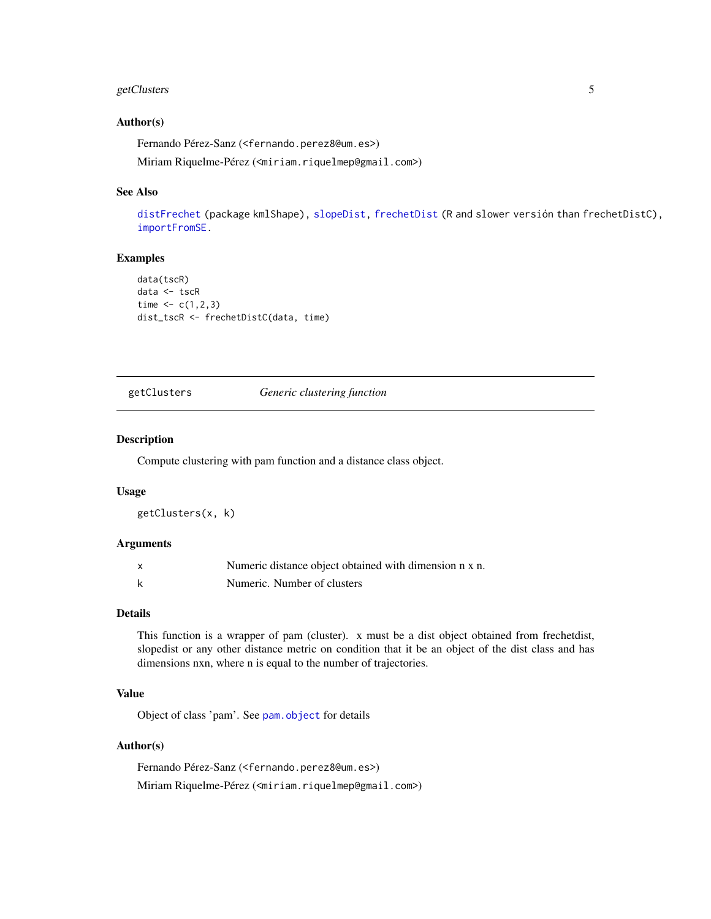# <span id="page-4-0"></span>getClusters 5

#### Author(s)

Fernando Pérez-Sanz (<fernando.perez8@um.es>) Miriam Riquelme-Pérez (<miriam.riquelmep@gmail.com>)

#### See Also

[distFrechet](#page-0-0) (package kmlShape), [slopeDist,](#page-12-1) [frechetDist](#page-2-1) (R and slower versión than frechetDistC), [importFromSE.](#page-5-1)

### Examples

```
data(tscR)
data <- tscR
time <-c(1,2,3)dist_tscR <- frechetDistC(data, time)
```
<span id="page-4-1"></span>getClusters *Generic clustering function*

#### Description

Compute clustering with pam function and a distance class object.

#### Usage

getClusters(x, k)

#### Arguments

| Numeric distance object obtained with dimension n x n. |
|--------------------------------------------------------|
| Numeric. Number of clusters                            |

#### Details

This function is a wrapper of pam (cluster). x must be a dist object obtained from frechetdist, slopedist or any other distance metric on condition that it be an object of the dist class and has dimensions nxn, where n is equal to the number of trajectories.

# Value

Object of class 'pam'. See [pam.object](#page-0-0) for details

# Author(s)

Fernando Pérez-Sanz (<fernando.perez8@um.es>) Miriam Riquelme-Pérez (<miriam.riquelmep@gmail.com>)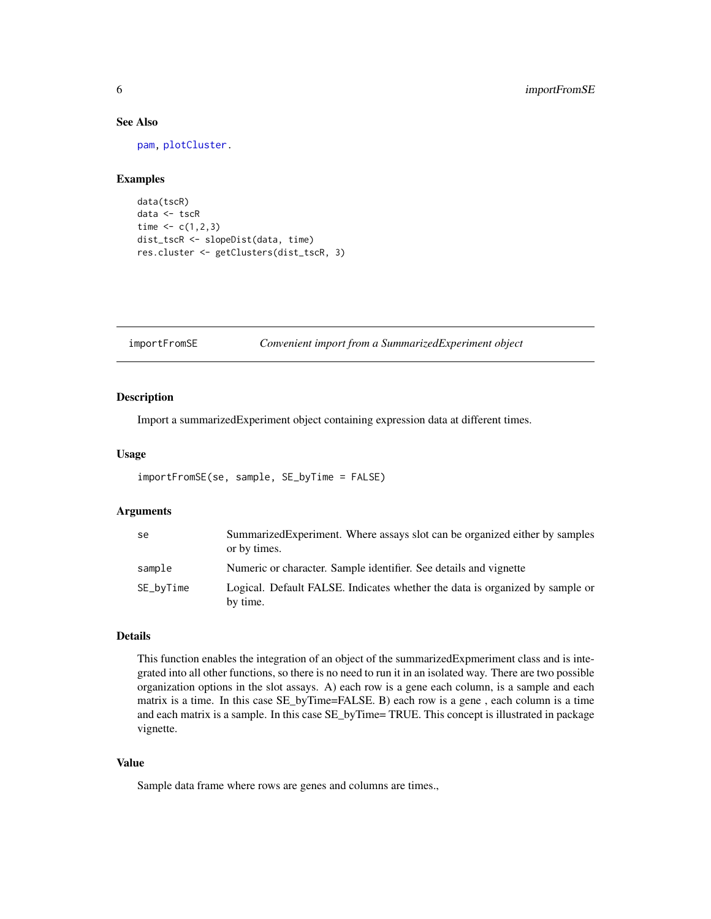# See Also

[pam,](#page-0-0) [plotCluster.](#page-9-1)

# Examples

```
data(tscR)
data <- tscR
time <-c(1,2,3)dist_tscR <- slopeDist(data, time)
res.cluster <- getClusters(dist_tscR, 3)
```
# <span id="page-5-1"></span>importFromSE *Convenient import from a SummarizedExperiment object*

#### Description

Import a summarizedExperiment object containing expression data at different times.

### Usage

```
importFromSE(se, sample, SE_byTime = FALSE)
```
### Arguments

| se        | Summarized Experiment. Where assays slot can be organized either by samples<br>or by times. |
|-----------|---------------------------------------------------------------------------------------------|
| sample    | Numeric or character. Sample identifier. See details and vignette                           |
| SE_byTime | Logical. Default FALSE. Indicates whether the data is organized by sample or<br>by time.    |

# Details

This function enables the integration of an object of the summarizedExpmeriment class and is integrated into all other functions, so there is no need to run it in an isolated way. There are two possible organization options in the slot assays. A) each row is a gene each column, is a sample and each matrix is a time. In this case SE\_byTime=FALSE. B) each row is a gene , each column is a time and each matrix is a sample. In this case SE\_byTime= TRUE. This concept is illustrated in package vignette.

#### Value

Sample data frame where rows are genes and columns are times.,

<span id="page-5-0"></span>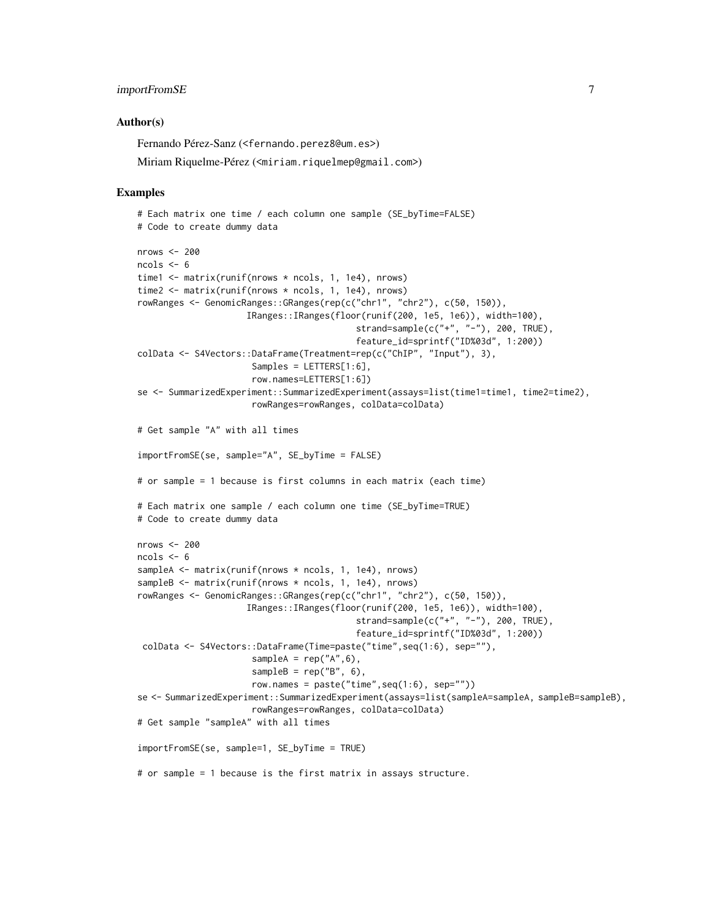#### importFromSE 7

#### Author(s)

Fernando Pérez-Sanz (<fernando.perez8@um.es>)

```
Miriam Riquelme-Pérez (<miriam.riquelmep@gmail.com>)
```

```
# Each matrix one time / each column one sample (SE_byTime=FALSE)
# Code to create dummy data
nrows <- 200
ncols <-6time1 <- matrix(runif(nrows * ncols, 1, 1e4), nrows)
time2 <- matrix(runif(nrows * ncols, 1, 1e4), nrows)
rowRanges <- GenomicRanges::GRanges(rep(c("chr1", "chr2"), c(50, 150)),
                     IRanges::IRanges(floor(runif(200, 1e5, 1e6)), width=100),
                                          strand=sample(c("+", "-"), 200, TRUE),
                                          feature_id=sprintf("ID%03d", 1:200))
colData <- S4Vectors::DataFrame(Treatment=rep(c("ChIP", "Input"), 3),
                      Samples = LETTERS[1:6],row.names=LETTERS[1:6])
se <- SummarizedExperiment::SummarizedExperiment(assays=list(time1=time1, time2=time2),
                      rowRanges=rowRanges, colData=colData)
# Get sample "A" with all times
importFromSE(se, sample="A", SE_byTime = FALSE)
# or sample = 1 because is first columns in each matrix (each time)
# Each matrix one sample / each column one time (SE_byTime=TRUE)
# Code to create dummy data
nrows <- 200
ncols < -6sampleA <- matrix(runif(nrows * ncols, 1, 1e4), nrows)
sampleB <- matrix(runif(nrows * ncols, 1, 1e4), nrows)
rowRanges <- GenomicRanges::GRanges(rep(c("chr1", "chr2"), c(50, 150)),
                     IRanges::IRanges(floor(runif(200, 1e5, 1e6)), width=100),
                                          strand=sample(c("+", "-"), 200, TRUE),
                                          feature_id=sprintf("ID%03d", 1:200))
 colData <- S4Vectors::DataFrame(Time=paste("time",seq(1:6), sep=""),
                      sampleA = rep("A", 6),sampleB = rep("B", 6),
                      row.names = paste("time",seq(1:6), sep=""))
se <- SummarizedExperiment::SummarizedExperiment(assays=list(sampleA=sampleA, sampleB=sampleB),
                      rowRanges=rowRanges, colData=colData)
# Get sample "sampleA" with all times
importFromSE(se, sample=1, SE_byTime = TRUE)
# or sample = 1 because is the first matrix in assays structure.
```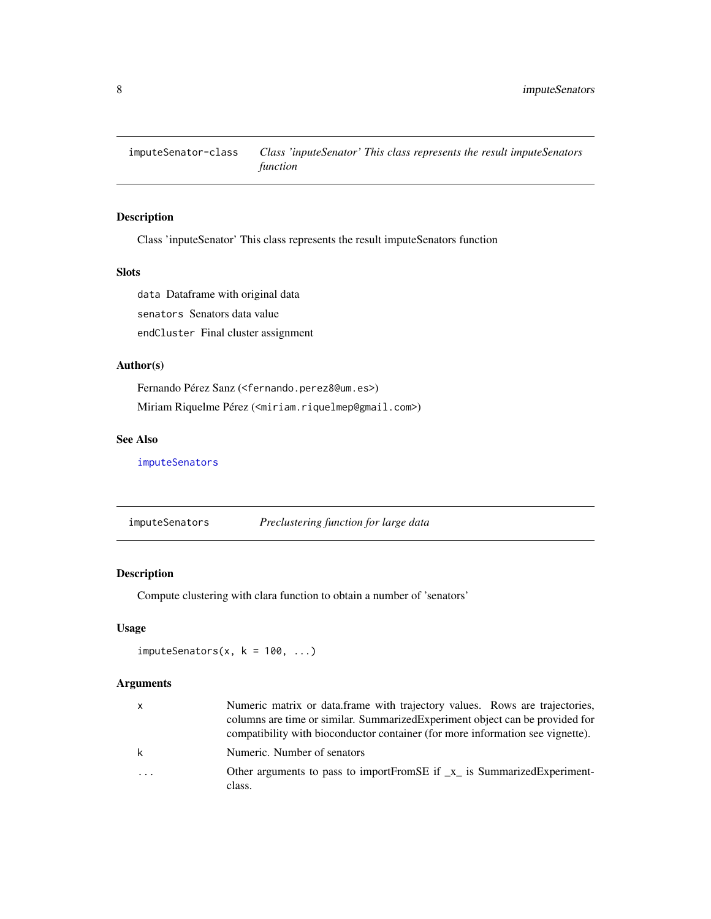<span id="page-7-2"></span><span id="page-7-0"></span>imputeSenator-class *Class 'inputeSenator' This class represents the result imputeSenators function*

# Description

Class 'inputeSenator' This class represents the result imputeSenators function

# Slots

data Dataframe with original data senators Senators data value endCluster Final cluster assignment

# Author(s)

Fernando Pérez Sanz (<fernando.perez8@um.es>) Miriam Riquelme Pérez (<miriam.riquelmep@gmail.com>)

#### See Also

[imputeSenators](#page-7-1)

<span id="page-7-1"></span>imputeSenators *Preclustering function for large data*

# Description

Compute clustering with clara function to obtain a number of 'senators'

#### Usage

```
imputeSenators(x, k = 100, ...)
```
### Arguments

| x        | Numeric matrix or data.frame with trajectory values. Rows are trajectories,<br>columns are time or similar. Summarized Experiment object can be provided for<br>compatibility with bioconductor container (for more information see vignette). |
|----------|------------------------------------------------------------------------------------------------------------------------------------------------------------------------------------------------------------------------------------------------|
| k        | Numeric. Number of senators                                                                                                                                                                                                                    |
| $\ddots$ | Other arguments to pass to importFromSE if $\mathbf{x}_i$ is SummarizedExperiment-<br>class.                                                                                                                                                   |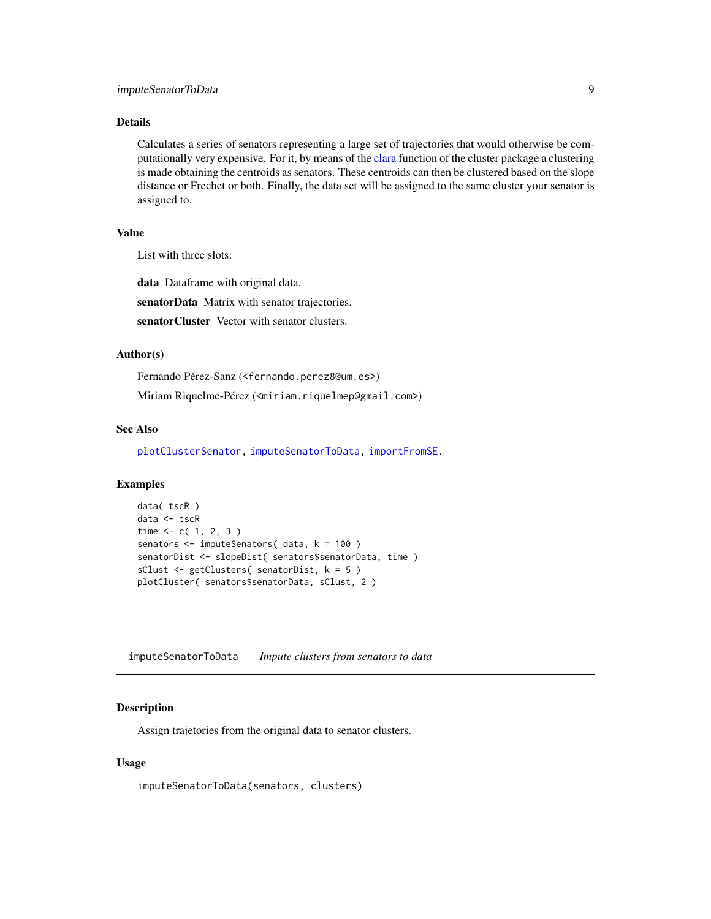#### <span id="page-8-0"></span>Details

Calculates a series of senators representing a large set of trajectories that would otherwise be computationally very expensive. For it, by means of the [clara](#page-0-0) function of the cluster package a clustering is made obtaining the centroids as senators. These centroids can then be clustered based on the slope distance or Frechet or both. Finally, the data set will be assigned to the same cluster your senator is assigned to.

#### Value

List with three slots:

data Dataframe with original data.

senatorData Matrix with senator trajectories.

senatorCluster Vector with senator clusters.

#### Author(s)

Fernando Pérez-Sanz (<fernando.perez8@um.es>)

Miriam Riquelme-Pérez (<miriam.riquelmep@gmail.com>)

#### See Also

[plotClusterSenator,](#page-11-1) [imputeSenatorToData,](#page-8-1) [importFromSE.](#page-5-1)

# Examples

```
data( tscR )
data <- tscR
time <-c(1, 2, 3)senators <- imputeSenators( data, k = 100 )
senatorDist <- slopeDist( senators$senatorData, time )
sClust <- getClusters( senatorDist, k = 5 )
plotCluster( senators$senatorData, sClust, 2 )
```
<span id="page-8-1"></span>imputeSenatorToData *Impute clusters from senators to data*

#### Description

Assign trajetories from the original data to senator clusters.

#### Usage

imputeSenatorToData(senators, clusters)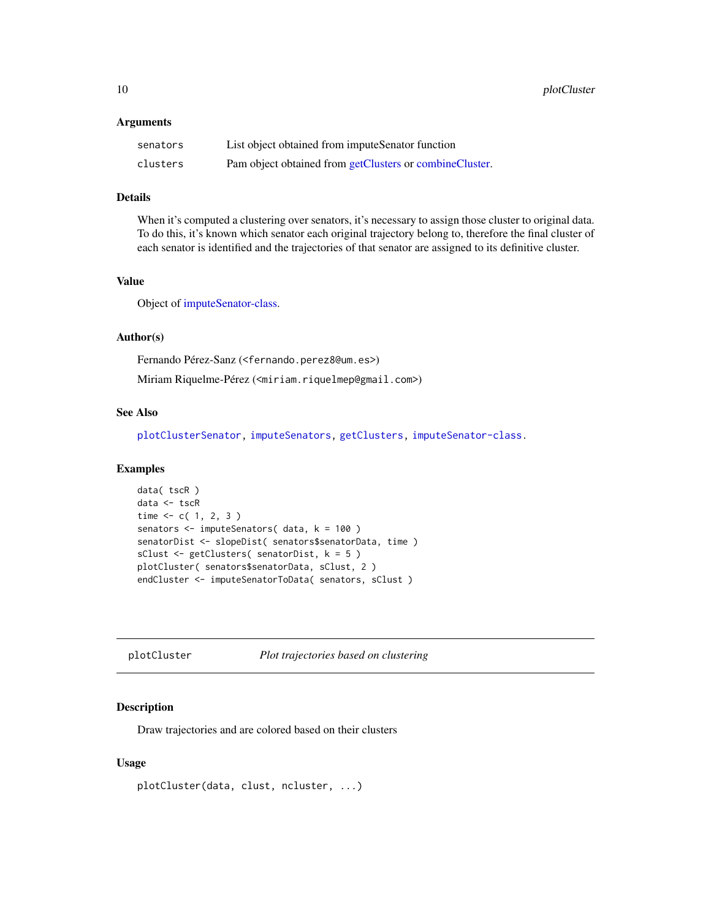<span id="page-9-0"></span>10 plotCluster

#### Arguments

| senators | List object obtained from imputeSenator function        |
|----------|---------------------------------------------------------|
| clusters | Pam object obtained from getClusters or combineCluster. |

# Details

When it's computed a clustering over senators, it's necessary to assign those cluster to original data. To do this, it's known which senator each original trajectory belong to, therefore the final cluster of each senator is identified and the trajectories of that senator are assigned to its definitive cluster.

# Value

Object of [imputeSenator-class.](#page-7-2)

# Author(s)

Fernando Pérez-Sanz (<fernando.perez8@um.es>) Miriam Riquelme-Pérez (<miriam.riquelmep@gmail.com>)

#### See Also

[plotClusterSenator,](#page-11-1) [imputeSenators,](#page-7-1) [getClusters,](#page-4-1) [imputeSenator-class.](#page-7-2)

#### Examples

```
data( tscR )
data <- tscR
time < c( 1, 2, 3 )senators <- imputeSenators( data, k = 100 )
senatorDist <- slopeDist( senators$senatorData, time )
sClust <- getClusters( senatorDist, k = 5 )
plotCluster( senators$senatorData, sClust, 2 )
endCluster <- imputeSenatorToData( senators, sClust )
```
<span id="page-9-1"></span>plotCluster *Plot trajectories based on clustering*

# Description

Draw trajectories and are colored based on their clusters

#### Usage

```
plotCluster(data, clust, ncluster, ...)
```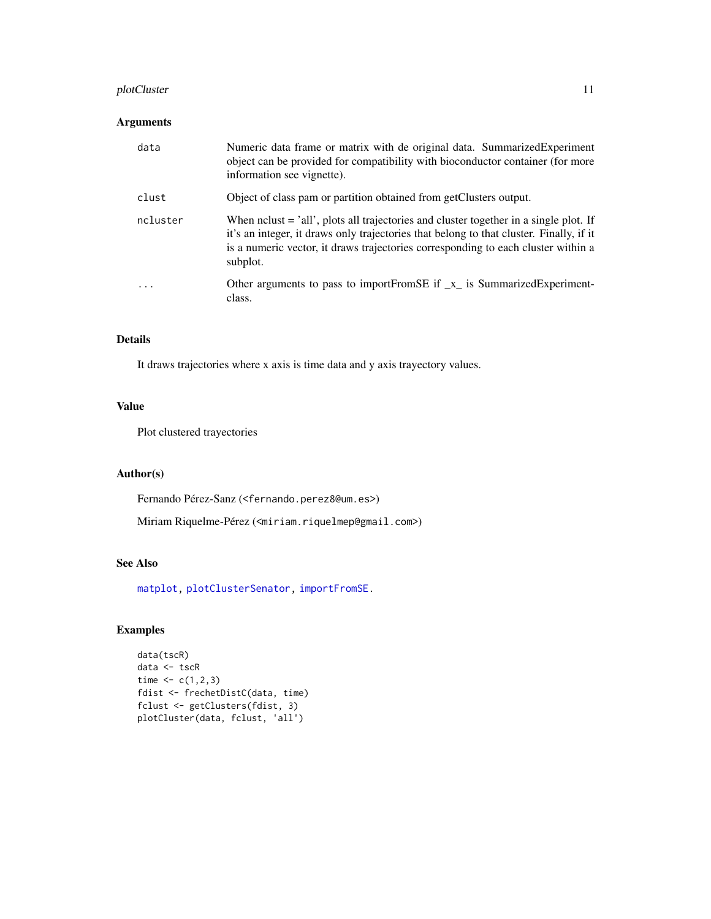# <span id="page-10-0"></span>plotCluster 11

# Arguments

| data     | Numeric data frame or matrix with de original data. Summarized Experiment<br>object can be provided for compatibility with bioconductor container (for more<br>information see vignette).                                                                                                          |
|----------|----------------------------------------------------------------------------------------------------------------------------------------------------------------------------------------------------------------------------------------------------------------------------------------------------|
| clust    | Object of class pam or partition obtained from getClusters output.                                                                                                                                                                                                                                 |
| ncluster | When $\text{nclust} = \text{'all'}$ , plots all trajectories and cluster together in a single plot. If<br>it's an integer, it draws only trajectories that belong to that cluster. Finally, if it<br>is a numeric vector, it draws trajectories corresponding to each cluster within a<br>subplot. |
| $\cdot$  | Other arguments to pass to importFromSE if $\mathbf{x}$ is SummarizedExperiment-<br>class.                                                                                                                                                                                                         |

# Details

It draws trajectories where x axis is time data and y axis trayectory values.

# Value

Plot clustered trayectories

# Author(s)

Fernando Pérez-Sanz (<fernando.perez8@um.es>)

Miriam Riquelme-Pérez (<miriam.riquelmep@gmail.com>)

# See Also

[matplot,](#page-0-0) [plotClusterSenator,](#page-11-1) [importFromSE.](#page-5-1)

```
data(tscR)
data <- tscR
time <-c(1,2,3)fdist <- frechetDistC(data, time)
fclust <- getClusters(fdist, 3)
plotCluster(data, fclust, 'all')
```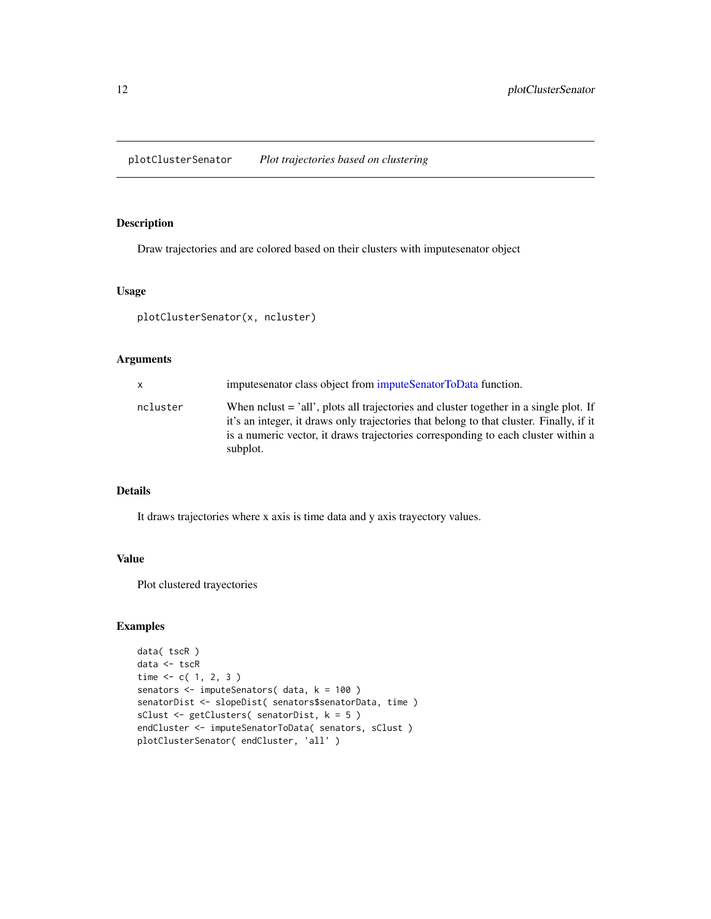<span id="page-11-1"></span><span id="page-11-0"></span>plotClusterSenator *Plot trajectories based on clustering*

# Description

Draw trajectories and are colored based on their clusters with imputesenator object

#### Usage

plotClusterSenator(x, ncluster)

### Arguments

|          | imputes enator class object from imputeSenatorToData function.                                                                                                                                                                                                               |
|----------|------------------------------------------------------------------------------------------------------------------------------------------------------------------------------------------------------------------------------------------------------------------------------|
| ncluster | When no net said not said trajectories and cluster together in a single plot. If<br>it's an integer, it draws only trajectories that belong to that cluster. Finally, if it<br>is a numeric vector, it draws trajectories corresponding to each cluster within a<br>subplot. |

# Details

It draws trajectories where x axis is time data and y axis trayectory values.

# Value

Plot clustered trayectories

```
data( tscR )
data <- tscR
time <-c(1, 2, 3)senators <- imputeSenators( data, k = 100 )
senatorDist <- slopeDist( senators$senatorData, time )
sClust <- getClusters( senatorDist, k = 5 )
endCluster <- imputeSenatorToData( senators, sClust )
plotClusterSenator( endCluster, 'all' )
```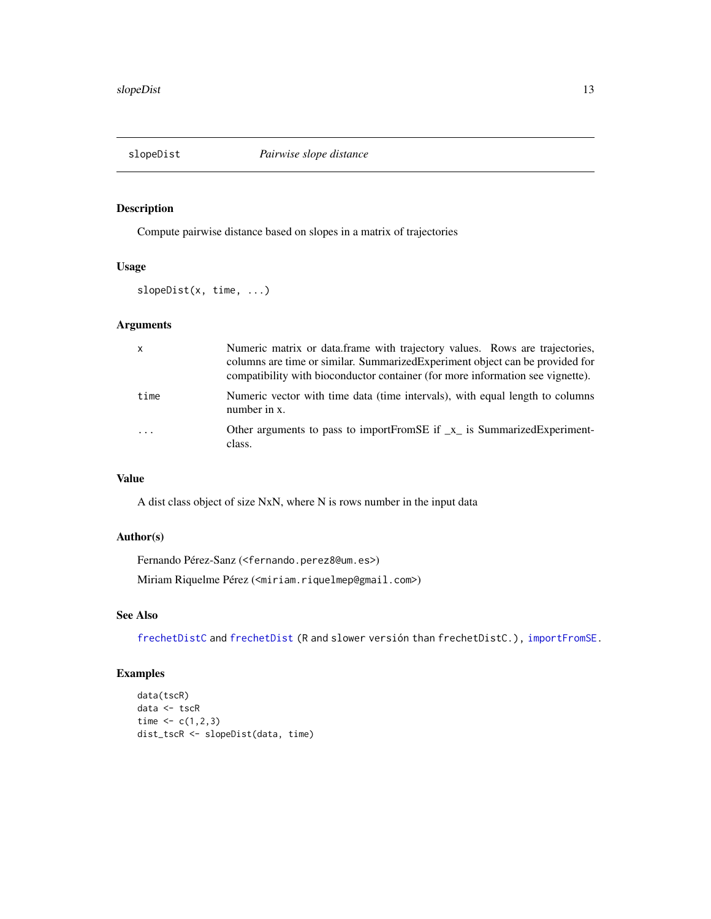<span id="page-12-1"></span><span id="page-12-0"></span>

# Description

Compute pairwise distance based on slopes in a matrix of trajectories

# Usage

slopeDist(x, time, ...)

# Arguments

| $\mathsf{x}$            | Numeric matrix or data.frame with trajectory values. Rows are trajectories,<br>columns are time or similar. Summarized Experiment object can be provided for<br>compatibility with bioconductor container (for more information see vignette). |
|-------------------------|------------------------------------------------------------------------------------------------------------------------------------------------------------------------------------------------------------------------------------------------|
| time                    | Numeric vector with time data (time intervals), with equal length to columns<br>number in x.                                                                                                                                                   |
| $\cdot$ $\cdot$ $\cdot$ | Other arguments to pass to importFromSE if $\mathbf{x}_i$ is SummarizedExperiment-<br>class.                                                                                                                                                   |

# Value

A dist class object of size NxN, where N is rows number in the input data

#### Author(s)

Fernando Pérez-Sanz (<fernando.perez8@um.es>)

Miriam Riquelme Pérez (<miriam.riquelmep@gmail.com>)

# See Also

[frechetDistC](#page-3-1) and [frechetDist](#page-2-1) (R and slower versión than frechetDistC.), [importFromSE.](#page-5-1)

```
data(tscR)
data <- tscR
time <-c(1,2,3)dist_tscR <- slopeDist(data, time)
```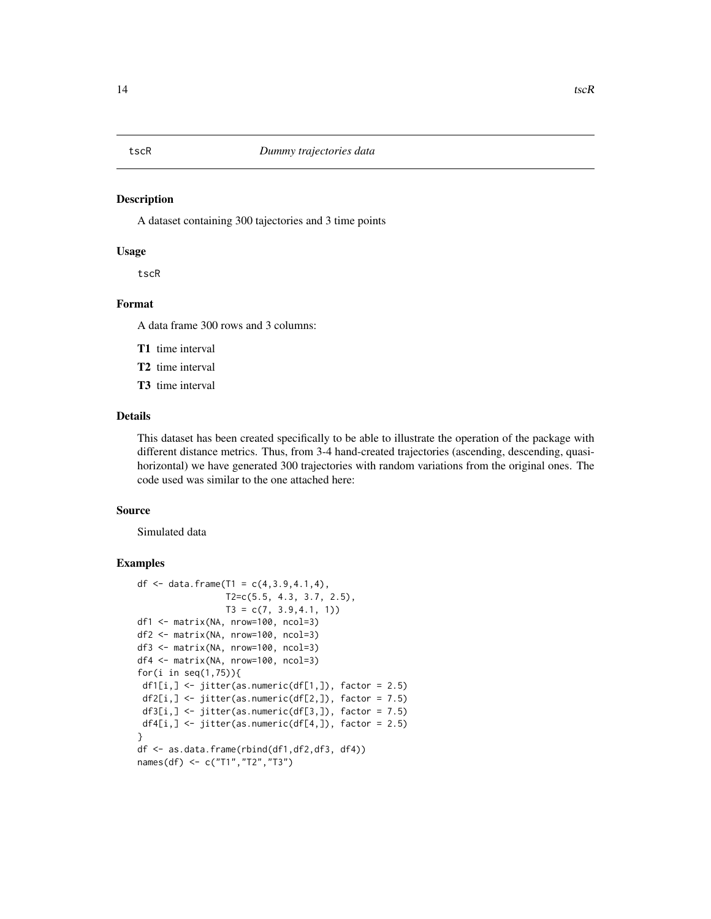<span id="page-13-0"></span>tscR *Dummy trajectories data*

#### Description

A dataset containing 300 tajectories and 3 time points

#### Usage

tscR

# Format

A data frame 300 rows and 3 columns:

T1 time interval

- T2 time interval
- T3 time interval

#### Details

This dataset has been created specifically to be able to illustrate the operation of the package with different distance metrics. Thus, from 3-4 hand-created trajectories (ascending, descending, quasihorizontal) we have generated 300 trajectories with random variations from the original ones. The code used was similar to the one attached here:

#### Source

Simulated data

```
df \leq data.frame(T1 = c(4,3.9,4.1,4),
                 T2=c(5.5, 4.3, 3.7, 2.5),
                  T3 = c(7, 3.9, 4.1, 1)df1 <- matrix(NA, nrow=100, ncol=3)
df2 <- matrix(NA, nrow=100, ncol=3)
df3 <- matrix(NA, nrow=100, ncol=3)
df4 <- matrix(NA, nrow=100, ncol=3)
for(i in seq(1,75)){
 df1[i,] \le jitter(as.numeric(df[1,]), factor = 2.5)
 df2[i, ] \leftarrow jitter(as.numeric(df[2,]), factor = 7.5)
 df3[i, ] \leftarrow jitter(as.numeric(df[3,]), factor = 7.5)
 df4[i, ] \leftarrow jitter(as.numeric(df[4,]), factor = 2.5)
}
df <- as.data.frame(rbind(df1,df2,df3, df4))
names(df) <- c("T1","T2","T3")
```